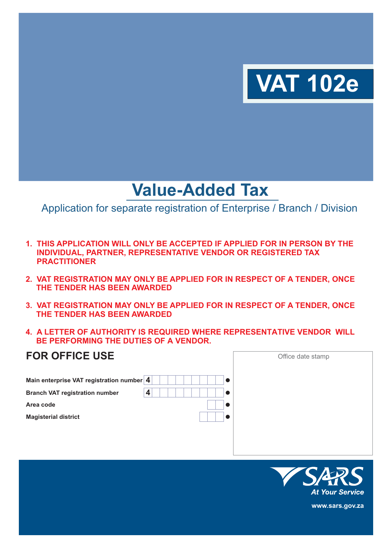

# **Value-Added Tax**

Application for separate registration of Enterprise / Branch / Division

- **1. THIS APPLICATION WILL ONLY BE ACCEPTED IF APPLIED FOR IN PERSON BY THE INDIVIDUAL, PARTNER, REPRESENTATIVE VENDOR OR REGISTERED TAX PRACTITIONER**
- **2. VAT REGISTRATION MAY ONLY BE APPLIED FOR IN RESPECT OF A TENDER, ONCE THE TENDER HAS BEEN AWARDED**
- **3. VAT REGISTRATION MAY ONLY BE APPLIED FOR IN RESPECT OF A TENDER, ONCE THE TENDER HAS BEEN AWARDED**
- **4. A LETTER OF AUTHORITY IS REQUIRED WHERE REPRESENTATIVE VENDOR WILL BE PERFORMING THE DUTIES OF A VENDOR.**

| <b>FOR OFFICE USE</b>                     |   | Office date stamp |
|-------------------------------------------|---|-------------------|
| Main enterprise VAT registration number 4 |   |                   |
| <b>Branch VAT registration number</b>     | 4 |                   |
| Area code                                 |   |                   |
| <b>Magisterial district</b>               |   |                   |
|                                           |   |                   |
|                                           |   |                   |
|                                           |   |                   |



**www.sars.gov.za**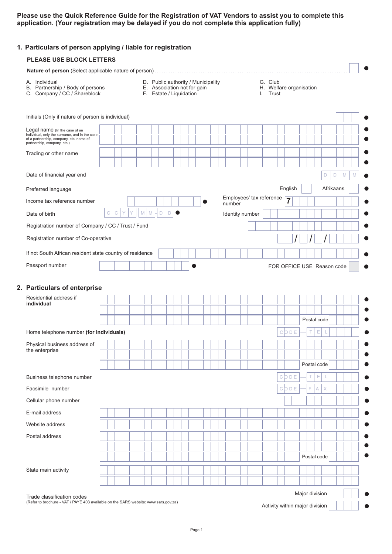**Please use the Quick Reference Guide for the Registration of VAT Vendors to assist you to complete this application. (Your registration may be delayed if you do not complete this application fully)**

| <b>PLEASE USE BLOCK LETTERS</b>                                                                                                                          |   |              |  |                  |             |        |                         |                                                                   |  |  |                 |  |                                                |                            |                |                 |   |             |             |             |           |   |
|----------------------------------------------------------------------------------------------------------------------------------------------------------|---|--------------|--|------------------|-------------|--------|-------------------------|-------------------------------------------------------------------|--|--|-----------------|--|------------------------------------------------|----------------------------|----------------|-----------------|---|-------------|-------------|-------------|-----------|---|
|                                                                                                                                                          |   |              |  |                  |             |        |                         |                                                                   |  |  |                 |  |                                                |                            |                |                 |   |             |             |             |           |   |
| A. Individual<br>B. Partnership / Body of persons<br>C. Company / CC / Shareblock                                                                        |   |              |  |                  |             |        | F. Estate / Liquidation | D. Public authority / Municipality<br>E. Association not for gain |  |  |                 |  | G. Club<br>H. Welfare organisation<br>I. Trust |                            |                |                 |   |             |             |             |           |   |
| Initials (Only if nature of person is individual)                                                                                                        |   |              |  |                  |             |        |                         |                                                                   |  |  |                 |  |                                                |                            |                |                 |   |             |             |             |           |   |
| Legal name (In the case of an<br>individual, only the surname, and in the case<br>of a partnership, company, etc. name of<br>partnership, company, etc.) |   |              |  |                  |             |        |                         |                                                                   |  |  |                 |  |                                                |                            |                |                 |   |             |             |             |           |   |
| Trading or other name                                                                                                                                    |   |              |  |                  |             |        |                         |                                                                   |  |  |                 |  |                                                |                            |                |                 |   |             |             |             |           |   |
| Date of financial year end                                                                                                                               |   |              |  |                  |             |        |                         |                                                                   |  |  |                 |  |                                                |                            |                |                 |   |             | D           | $\mathsf D$ |           | M |
| Preferred language                                                                                                                                       |   |              |  |                  |             |        |                         |                                                                   |  |  |                 |  |                                                |                            | English        |                 |   |             |             |             | Afrikaans |   |
| Income tax reference number                                                                                                                              |   |              |  |                  |             |        |                         |                                                                   |  |  | number          |  | Employees' tax reference                       |                            | $\overline{7}$ |                 |   |             |             |             |           |   |
| Date of birth                                                                                                                                            | C | $\mathsf{C}$ |  | $\mathbb M$<br>M | $\mathsf D$ | $\Box$ |                         |                                                                   |  |  | Identity number |  |                                                |                            |                |                 |   |             |             |             |           |   |
| Registration number of Company / CC / Trust / Fund                                                                                                       |   |              |  |                  |             |        |                         |                                                                   |  |  |                 |  |                                                |                            |                |                 |   |             |             |             |           |   |
| Registration number of Co-operative                                                                                                                      |   |              |  |                  |             |        |                         |                                                                   |  |  |                 |  |                                                |                            |                |                 |   |             |             |             |           |   |
| If not South African resident state country of residence                                                                                                 |   |              |  |                  |             |        |                         |                                                                   |  |  |                 |  |                                                |                            |                |                 |   |             |             |             |           |   |
|                                                                                                                                                          |   |              |  |                  |             |        |                         |                                                                   |  |  |                 |  |                                                |                            |                |                 |   |             |             |             |           |   |
| Passport number                                                                                                                                          |   |              |  |                  |             |        |                         |                                                                   |  |  |                 |  |                                                | FOR OFFICE USE Reason code |                |                 |   |             |             |             |           |   |
| 2. Particulars of enterprise<br>Residential address if<br>individual                                                                                     |   |              |  |                  |             |        |                         |                                                                   |  |  |                 |  |                                                |                            |                |                 |   |             |             |             |           |   |
|                                                                                                                                                          |   |              |  |                  |             |        |                         |                                                                   |  |  |                 |  |                                                |                            |                |                 |   |             | Postal code |             |           |   |
| Home telephone number (for Individuals)                                                                                                                  |   |              |  |                  |             |        |                         |                                                                   |  |  |                 |  |                                                |                            |                | $C$ $D$ $D$ $E$ | Τ | $\mathsf E$ | L           |             |           |   |
| Physical business address of                                                                                                                             |   |              |  |                  |             |        |                         |                                                                   |  |  |                 |  |                                                |                            |                |                 |   |             |             |             |           |   |
| the enterprise                                                                                                                                           |   |              |  |                  |             |        |                         |                                                                   |  |  |                 |  |                                                |                            |                |                 |   |             |             |             |           |   |
|                                                                                                                                                          |   |              |  |                  |             |        |                         |                                                                   |  |  |                 |  |                                                |                            |                |                 |   | Postal code |             |             |           |   |
| Business telephone number                                                                                                                                |   |              |  |                  |             |        |                         |                                                                   |  |  |                 |  |                                                |                            | CODE           |                 | Τ | Ε           | L           |             |           |   |
| Facsimile number                                                                                                                                         |   |              |  |                  |             |        |                         |                                                                   |  |  |                 |  |                                                |                            | C D D          | E               | F | Α           | X           |             |           |   |
| Cellular phone number                                                                                                                                    |   |              |  |                  |             |        |                         |                                                                   |  |  |                 |  |                                                |                            |                |                 |   |             |             |             |           |   |
| E-mail address                                                                                                                                           |   |              |  |                  |             |        |                         |                                                                   |  |  |                 |  |                                                |                            |                |                 |   |             |             |             |           |   |
| Website address                                                                                                                                          |   |              |  |                  |             |        |                         |                                                                   |  |  |                 |  |                                                |                            |                |                 |   |             |             |             |           |   |
| Postal address                                                                                                                                           |   |              |  |                  |             |        |                         |                                                                   |  |  |                 |  |                                                |                            |                |                 |   |             |             |             |           |   |
|                                                                                                                                                          |   |              |  |                  |             |        |                         |                                                                   |  |  |                 |  |                                                |                            |                |                 |   | Postal code |             |             |           |   |
|                                                                                                                                                          |   |              |  |                  |             |        |                         |                                                                   |  |  |                 |  |                                                |                            |                |                 |   |             |             |             |           |   |
| State main activity                                                                                                                                      |   |              |  |                  |             |        |                         |                                                                   |  |  |                 |  |                                                |                            |                |                 |   |             |             |             |           |   |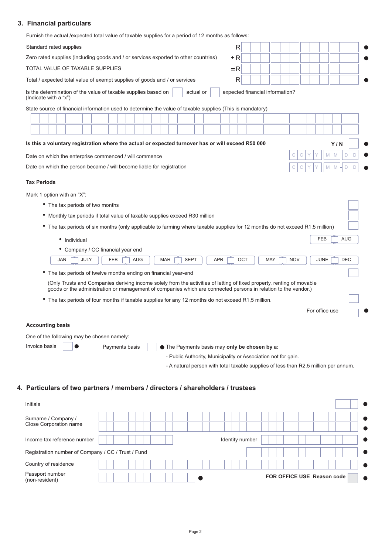### **3. Financial particulars**

Furnish the actual /expected total value of taxable supplies for a period of 12 months as follows:

| <u>I difficit the dotadi /cxpcoted total value of taxable supplies for a j</u>                                               |                                                                                                                                                      |            |                                 |     |            |            |                |     |            |
|------------------------------------------------------------------------------------------------------------------------------|------------------------------------------------------------------------------------------------------------------------------------------------------|------------|---------------------------------|-----|------------|------------|----------------|-----|------------|
| Standard rated supplies                                                                                                      |                                                                                                                                                      |            | R                               |     |            |            |                |     |            |
| Zero rated supplies (including goods and / or services exported to other countries)                                          |                                                                                                                                                      |            | +R                              |     |            |            |                |     |            |
| TOTAL VALUE OF TAXABLE SUPPLIES                                                                                              |                                                                                                                                                      |            | $=$ R                           |     |            |            |                |     |            |
| Total / expected total value of exempt supplies of goods and / or services                                                   |                                                                                                                                                      |            | $\mathsf{R}$                    |     |            |            |                |     |            |
| Is the determination of the value of taxable supplies based on<br>(Indicate with a "x")                                      | actual or                                                                                                                                            |            | expected financial information? |     |            |            |                |     |            |
| State source of financial information used to determine the value of taxable supplies (This is mandatory)                    |                                                                                                                                                      |            |                                 |     |            |            |                |     |            |
|                                                                                                                              |                                                                                                                                                      |            |                                 |     |            |            |                |     |            |
|                                                                                                                              |                                                                                                                                                      |            |                                 |     |            |            |                |     |            |
| Is this a voluntary registration where the actual or expected turnover has or will exceed R50 000                            |                                                                                                                                                      |            |                                 |     |            |            |                | Y/N |            |
| Date on which the enterprise commenced / will commence                                                                       |                                                                                                                                                      |            |                                 |     |            |            | M              | M   | D          |
| Date on which the person became / will become liable for registration                                                        |                                                                                                                                                      |            |                                 |     |            |            | M              |     |            |
| <b>Tax Periods</b>                                                                                                           |                                                                                                                                                      |            |                                 |     |            |            |                |     |            |
| Mark 1 option with an "X":                                                                                                   |                                                                                                                                                      |            |                                 |     |            |            |                |     |            |
| • The tax periods of two months                                                                                              |                                                                                                                                                      |            |                                 |     |            |            |                |     |            |
| • Monthly tax periods if total value of taxable supplies exceed R30 million                                                  |                                                                                                                                                      |            |                                 |     |            |            |                |     |            |
| • The tax periods of six months (only applicable to farming where taxable supplies for 12 months do not exceed R1,5 million) |                                                                                                                                                      |            |                                 |     |            |            |                |     |            |
| • Individual                                                                                                                 |                                                                                                                                                      |            |                                 |     |            |            | <b>FEB</b>     |     | <b>AUG</b> |
| • Company / CC financial year end                                                                                            |                                                                                                                                                      |            |                                 |     |            |            |                |     |            |
| JULY<br><b>JAN</b><br><b>FEB</b><br><b>AUG</b><br><b>MAR</b>                                                                 | <b>SEPT</b>                                                                                                                                          | <b>APR</b> |                                 | OCT | <b>MAY</b> | <b>NOV</b> | <b>JUNE</b>    |     | <b>DEC</b> |
| The tax periods of twelve months ending on financial year-end                                                                |                                                                                                                                                      |            |                                 |     |            |            |                |     |            |
| (Only Trusts and Companies deriving income solely from the activities of letting of fixed property, renting of movable       |                                                                                                                                                      |            |                                 |     |            |            |                |     |            |
| goods or the administration or management of companies which are connected persons in relation to the vendor.)               |                                                                                                                                                      |            |                                 |     |            |            |                |     |            |
| The tax periods of four months if taxable supplies for any 12 months do not exceed R1,5 million.                             |                                                                                                                                                      |            |                                 |     |            |            |                |     |            |
|                                                                                                                              |                                                                                                                                                      |            |                                 |     |            |            | For office use |     |            |
| <b>Accounting basis</b>                                                                                                      |                                                                                                                                                      |            |                                 |     |            |            |                |     |            |
|                                                                                                                              |                                                                                                                                                      |            |                                 |     |            |            |                |     |            |
| One of the following may be chosen namely:<br>Invoice basis                                                                  |                                                                                                                                                      |            |                                 |     |            |            |                |     |            |
| Payments basis                                                                                                               | The Payments basis may only be chosen by a:                                                                                                          |            |                                 |     |            |            |                |     |            |
|                                                                                                                              | - Public Authority, Municipality or Association not for gain.<br>- A natural person with total taxable supplies of less than R2.5 million per annum. |            |                                 |     |            |            |                |     |            |
|                                                                                                                              |                                                                                                                                                      |            |                                 |     |            |            |                |     |            |

## **4. Particulars of two partners / members / directors / shareholders / trustees**

| <b>Initials</b>                                    |                            |
|----------------------------------------------------|----------------------------|
| Surname / Company /<br>Close Corporation name      |                            |
| Income tax reference number                        | Identity number            |
| Registration number of Company / CC / Trust / Fund |                            |
| Country of residence                               |                            |
| Passport number<br>(non-resident)                  | FOR OFFICE USE Reason code |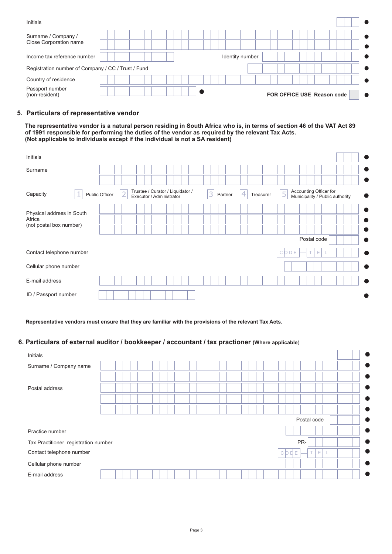| Initials                                           |                 |                            |
|----------------------------------------------------|-----------------|----------------------------|
| Surname / Company /<br>Close Corporation name      |                 |                            |
| Income tax reference number                        | Identity number |                            |
| Registration number of Company / CC / Trust / Fund |                 |                            |
| Country of residence                               |                 |                            |
| Passport number<br>(non-resident)                  |                 | FOR OFFICE USE Reason code |

#### **5. Particulars of representative vendor**

**The representative vendor is a natural person residing in South Africa who is, in terms of section 46 of the VAT Act 89 of 1991 responsible for performing the duties of the vendor as required by the relevant Tax Acts. (Not applicable to individuals except if the individual is not a SA resident)**

| Initials                  |                |                |                                                              |              |                |                                                                |           |
|---------------------------|----------------|----------------|--------------------------------------------------------------|--------------|----------------|----------------------------------------------------------------|-----------|
| Surname                   |                |                |                                                              |              |                |                                                                |           |
|                           |                |                |                                                              |              |                |                                                                |           |
| Capacity                  | Public Officer | $\overline{2}$ | Trustee / Curator / Liquidator /<br>Executor / Administrator | 3<br>Partner | 4<br>Treasurer | Accounting Officer for<br>5<br>Municipality / Public authority | $\bullet$ |
| Physical address in South |                |                |                                                              |              |                |                                                                | $\bullet$ |
| Africa                    |                |                |                                                              |              |                |                                                                |           |
| (not postal box number)   |                |                |                                                              |              |                |                                                                | o         |
|                           |                |                |                                                              |              |                | Postal code                                                    |           |
| Contact telephone number  |                |                |                                                              |              |                | Е<br>T.<br>Е<br>C                                              |           |
| Cellular phone number     |                |                |                                                              |              |                |                                                                |           |
| E-mail address            |                |                |                                                              |              |                |                                                                |           |
| ID / Passport number      |                |                |                                                              |              |                |                                                                |           |

**Representative vendors must ensure that they are familiar with the provisions of the relevant Tax Acts.**

#### **6. Particulars of external auditor / bookkeeper / accountant / tax practioner (Where applicable**)

| Initials                             |  |  |  |  |  |  |  |  |  |  |  |  |              |   |     |    |             |  |  | O         |
|--------------------------------------|--|--|--|--|--|--|--|--|--|--|--|--|--------------|---|-----|----|-------------|--|--|-----------|
| Surname / Company name               |  |  |  |  |  |  |  |  |  |  |  |  |              |   |     |    |             |  |  | œ         |
|                                      |  |  |  |  |  |  |  |  |  |  |  |  |              |   |     |    |             |  |  | $\bullet$ |
| Postal address                       |  |  |  |  |  |  |  |  |  |  |  |  |              |   |     |    |             |  |  | $\bullet$ |
|                                      |  |  |  |  |  |  |  |  |  |  |  |  |              |   |     |    |             |  |  | $\bullet$ |
|                                      |  |  |  |  |  |  |  |  |  |  |  |  |              |   |     |    |             |  |  | $\bullet$ |
|                                      |  |  |  |  |  |  |  |  |  |  |  |  |              |   |     |    | Postal code |  |  | $\bullet$ |
| Practice number                      |  |  |  |  |  |  |  |  |  |  |  |  |              |   |     |    |             |  |  | $\bullet$ |
| Tax Practitioner registration number |  |  |  |  |  |  |  |  |  |  |  |  |              |   | PR- |    |             |  |  |           |
| Contact telephone number             |  |  |  |  |  |  |  |  |  |  |  |  | C <b>D</b> D | Е |     | T. | Е           |  |  | $\bullet$ |
| Cellular phone number                |  |  |  |  |  |  |  |  |  |  |  |  |              |   |     |    |             |  |  |           |
| E-mail address                       |  |  |  |  |  |  |  |  |  |  |  |  |              |   |     |    |             |  |  |           |